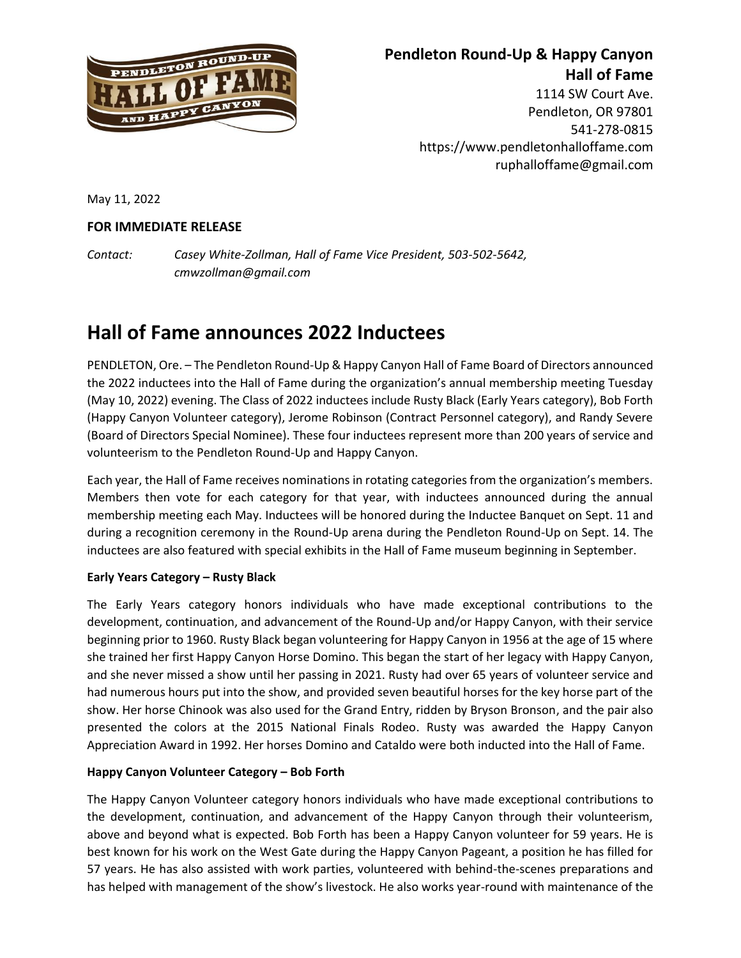

## **Pendleton Round-Up & Happy Canyon Hall of Fame**

1114 SW Court Ave. Pendleton, OR 97801 541-278-0815 https://www.pendletonhalloffame.com ruphalloffame@gmail.com

May 11, 2022

### **FOR IMMEDIATE RELEASE**

*Contact: Casey White-Zollman, Hall of Fame Vice President, 503-502-5642, cmwzollman@gmail.com*

# **Hall of Fame announces 2022 Inductees**

PENDLETON, Ore. – The Pendleton Round-Up & Happy Canyon Hall of Fame Board of Directors announced the 2022 inductees into the Hall of Fame during the organization's annual membership meeting Tuesday (May 10, 2022) evening. The Class of 2022 inductees include Rusty Black (Early Years category), Bob Forth (Happy Canyon Volunteer category), Jerome Robinson (Contract Personnel category), and Randy Severe (Board of Directors Special Nominee). These four inductees represent more than 200 years of service and volunteerism to the Pendleton Round-Up and Happy Canyon.

Each year, the Hall of Fame receives nominations in rotating categories from the organization's members. Members then vote for each category for that year, with inductees announced during the annual membership meeting each May. Inductees will be honored during the Inductee Banquet on Sept. 11 and during a recognition ceremony in the Round-Up arena during the Pendleton Round-Up on Sept. 14. The inductees are also featured with special exhibits in the Hall of Fame museum beginning in September.

### **Early Years Category – Rusty Black**

The Early Years category honors individuals who have made exceptional contributions to the development, continuation, and advancement of the Round-Up and/or Happy Canyon, with their service beginning prior to 1960. Rusty Black began volunteering for Happy Canyon in 1956 at the age of 15 where she trained her first Happy Canyon Horse Domino. This began the start of her legacy with Happy Canyon, and she never missed a show until her passing in 2021. Rusty had over 65 years of volunteer service and had numerous hours put into the show, and provided seven beautiful horses for the key horse part of the show. Her horse Chinook was also used for the Grand Entry, ridden by Bryson Bronson, and the pair also presented the colors at the 2015 National Finals Rodeo. Rusty was awarded the Happy Canyon Appreciation Award in 1992. Her horses Domino and Cataldo were both inducted into the Hall of Fame.

#### **Happy Canyon Volunteer Category – Bob Forth**

The Happy Canyon Volunteer category honors individuals who have made exceptional contributions to the development, continuation, and advancement of the Happy Canyon through their volunteerism, above and beyond what is expected. Bob Forth has been a Happy Canyon volunteer for 59 years. He is best known for his work on the West Gate during the Happy Canyon Pageant, a position he has filled for 57 years. He has also assisted with work parties, volunteered with behind-the-scenes preparations and has helped with management of the show's livestock. He also works year-round with maintenance of the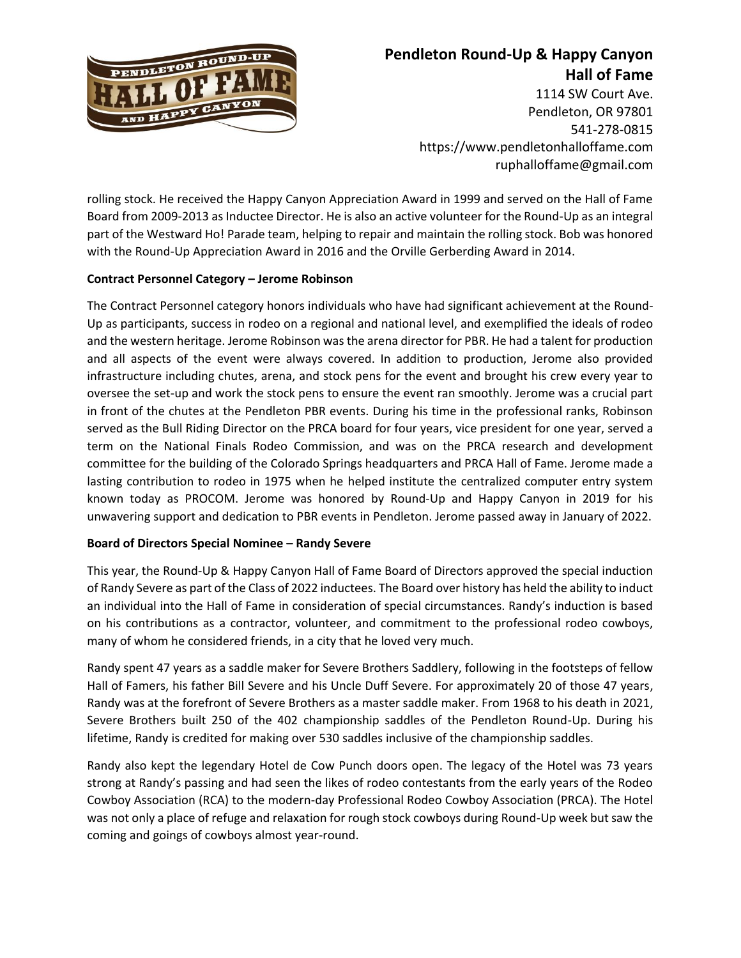

# **Pendleton Round-Up & Happy Canyon Hall of Fame**

1114 SW Court Ave. Pendleton, OR 97801 541-278-0815 https://www.pendletonhalloffame.com ruphalloffame@gmail.com

rolling stock. He received the Happy Canyon Appreciation Award in 1999 and served on the Hall of Fame Board from 2009-2013 as Inductee Director. He is also an active volunteer for the Round-Up as an integral part of the Westward Ho! Parade team, helping to repair and maintain the rolling stock. Bob was honored with the Round-Up Appreciation Award in 2016 and the Orville Gerberding Award in 2014.

### **Contract Personnel Category – Jerome Robinson**

The Contract Personnel category honors individuals who have had significant achievement at the Round-Up as participants, success in rodeo on a regional and national level, and exemplified the ideals of rodeo and the western heritage. Jerome Robinson was the arena director for PBR. He had a talent for production and all aspects of the event were always covered. In addition to production, Jerome also provided infrastructure including chutes, arena, and stock pens for the event and brought his crew every year to oversee the set-up and work the stock pens to ensure the event ran smoothly. Jerome was a crucial part in front of the chutes at the Pendleton PBR events. During his time in the professional ranks, Robinson served as the Bull Riding Director on the PRCA board for four years, vice president for one year, served a term on the National Finals Rodeo Commission, and was on the PRCA research and development committee for the building of the Colorado Springs headquarters and PRCA Hall of Fame. Jerome made a lasting contribution to rodeo in 1975 when he helped institute the centralized computer entry system known today as PROCOM. Jerome was honored by Round-Up and Happy Canyon in 2019 for his unwavering support and dedication to PBR events in Pendleton. Jerome passed away in January of 2022.

#### **Board of Directors Special Nominee – Randy Severe**

This year, the Round-Up & Happy Canyon Hall of Fame Board of Directors approved the special induction of Randy Severe as part of the Class of 2022 inductees. The Board over history has held the ability to induct an individual into the Hall of Fame in consideration of special circumstances. Randy's induction is based on his contributions as a contractor, volunteer, and commitment to the professional rodeo cowboys, many of whom he considered friends, in a city that he loved very much.

Randy spent 47 years as a saddle maker for Severe Brothers Saddlery, following in the footsteps of fellow Hall of Famers, his father Bill Severe and his Uncle Duff Severe. For approximately 20 of those 47 years, Randy was at the forefront of Severe Brothers as a master saddle maker. From 1968 to his death in 2021, Severe Brothers built 250 of the 402 championship saddles of the Pendleton Round-Up. During his lifetime, Randy is credited for making over 530 saddles inclusive of the championship saddles.

Randy also kept the legendary Hotel de Cow Punch doors open. The legacy of the Hotel was 73 years strong at Randy's passing and had seen the likes of rodeo contestants from the early years of the Rodeo Cowboy Association (RCA) to the modern-day Professional Rodeo Cowboy Association (PRCA). The Hotel was not only a place of refuge and relaxation for rough stock cowboys during Round-Up week but saw the coming and goings of cowboys almost year-round.